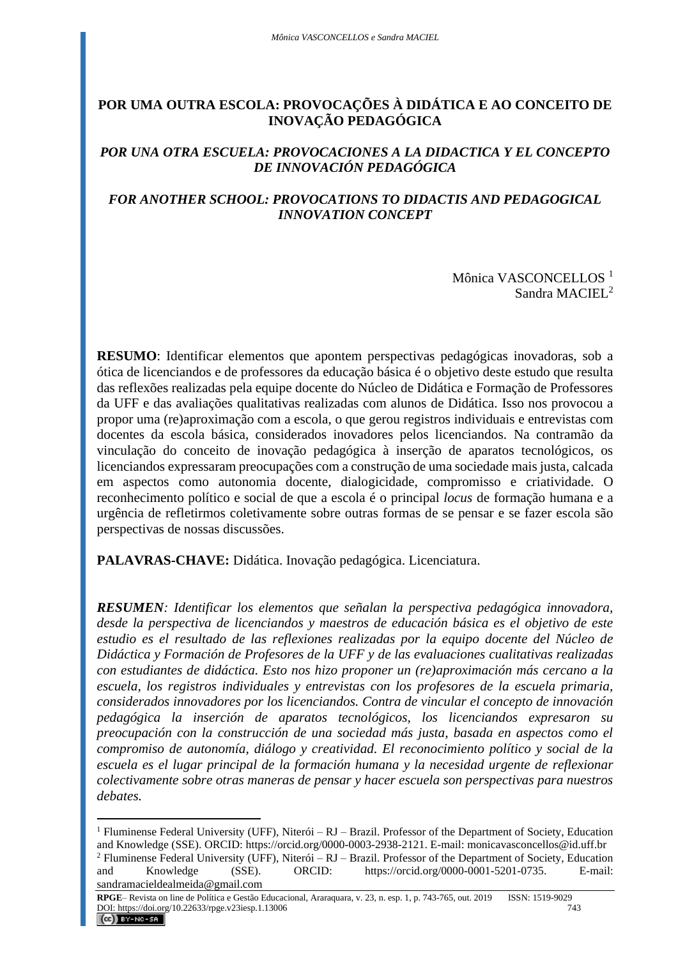# **POR UMA OUTRA ESCOLA: PROVOCAÇÕES À DIDÁTICA E AO CONCEITO DE INOVAÇÃO PEDAGÓGICA**

## *POR UNA OTRA ESCUELA: PROVOCACIONES A LA DIDACTICA Y EL CONCEPTO DE INNOVACIÓN PEDAGÓGICA*

## *FOR ANOTHER SCHOOL: PROVOCATIONS TO DIDACTIS AND PEDAGOGICAL INNOVATION CONCEPT*

Mônica VASCONCELLOS<sup>1</sup> Sandra MACIEL<sup>2</sup>

**RESUMO**: Identificar elementos que apontem perspectivas pedagógicas inovadoras, sob a ótica de licenciandos e de professores da educação básica é o objetivo deste estudo que resulta das reflexões realizadas pela equipe docente do Núcleo de Didática e Formação de Professores da UFF e das avaliações qualitativas realizadas com alunos de Didática. Isso nos provocou a propor uma (re)aproximação com a escola, o que gerou registros individuais e entrevistas com docentes da escola básica, considerados inovadores pelos licenciandos. Na contramão da vinculação do conceito de inovação pedagógica à inserção de aparatos tecnológicos, os licenciandos expressaram preocupações com a construção de uma sociedade mais justa, calcada em aspectos como autonomia docente, dialogicidade, compromisso e criatividade. O reconhecimento político e social de que a escola é o principal *locus* de formação humana e a urgência de refletirmos coletivamente sobre outras formas de se pensar e se fazer escola são perspectivas de nossas discussões.

**PALAVRAS-CHAVE:** Didática. Inovação pedagógica. Licenciatura.

*RESUMEN: Identificar los elementos que señalan la perspectiva pedagógica innovadora, desde la perspectiva de licenciandos y maestros de educación básica es el objetivo de este estudio es el resultado de las reflexiones realizadas por la equipo docente del Núcleo de Didáctica y Formación de Profesores de la UFF y de las evaluaciones cualitativas realizadas con estudiantes de didáctica. Esto nos hizo proponer un (re)aproximación más cercano a la escuela, los registros individuales y entrevistas con los profesores de la escuela primaria, considerados innovadores por los licenciandos. Contra de vincular el concepto de innovación pedagógica la inserción de aparatos tecnológicos, los licenciandos expresaron su preocupación con la construcción de una sociedad más justa, basada en aspectos como el compromiso de autonomía, diálogo y creatividad. El reconocimiento político y social de la escuela es el lugar principal de la formación humana y la necesidad urgente de reflexionar colectivamente sobre otras maneras de pensar y hacer escuela son perspectivas para nuestros debates.*

<sup>&</sup>lt;sup>1</sup> Fluminense Federal University (UFF), Niterói – RJ – Brazil. Professor of the Department of Society, Education and Knowledge (SSE). ORCID: https://orcid.org/0000-0003-2938-2121. E-mail: monicavasconcellos@id.uff.br <sup>2</sup> Fluminense Federal University (UFF), Niterói – RJ – Brazil. Professor of the Department of Society, Education and Knowledge (SSE). ORCID: https://orcid.org/0000-0001-5201-0735. E-mail: sandramacieldealmeida@gmail.com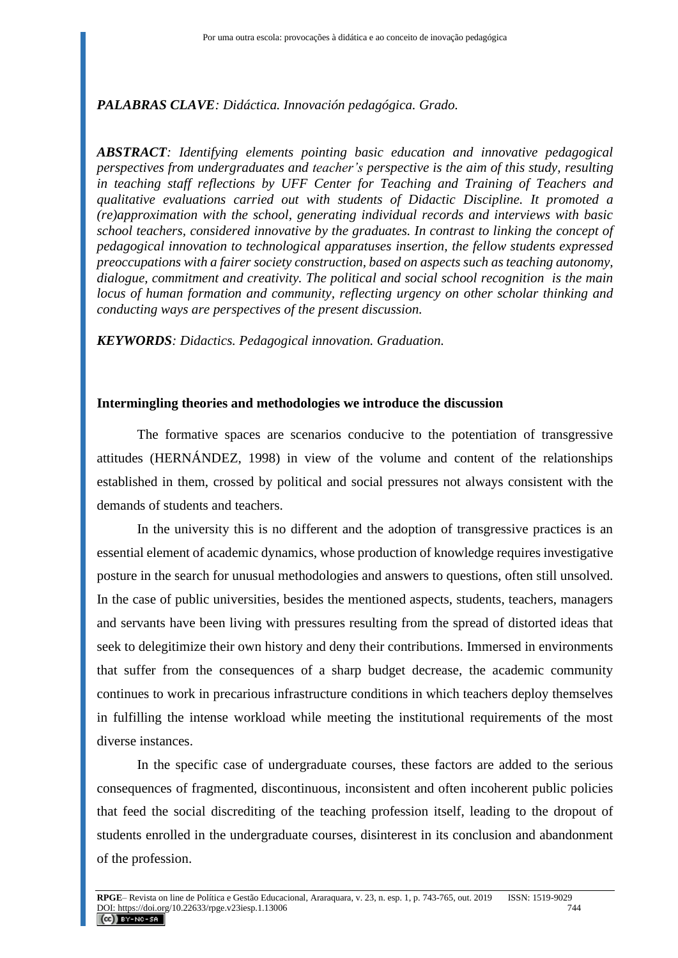#### *PALABRAS CLAVE: Didáctica. Innovación pedagógica. Grado.*

*ABSTRACT: Identifying elements pointing basic education and innovative pedagogical perspectives from undergraduates and teacher's perspective is the aim of this study, resulting in teaching staff reflections by UFF Center for Teaching and Training of Teachers and qualitative evaluations carried out with students of Didactic Discipline. It promoted a (re)approximation with the school, generating individual records and interviews with basic school teachers, considered innovative by the graduates. In contrast to linking the concept of pedagogical innovation to technological apparatuses insertion, the fellow students expressed preoccupations with a fairer society construction, based on aspects such as teaching autonomy, dialogue, commitment and creativity. The political and social school recognition is the main locus of human formation and community, reflecting urgency on other scholar thinking and conducting ways are perspectives of the present discussion.*

*KEYWORDS: Didactics. Pedagogical innovation. Graduation.*

#### **Intermingling theories and methodologies we introduce the discussion**

The formative spaces are scenarios conducive to the potentiation of transgressive attitudes (HERNÁNDEZ, 1998) in view of the volume and content of the relationships established in them, crossed by political and social pressures not always consistent with the demands of students and teachers.

In the university this is no different and the adoption of transgressive practices is an essential element of academic dynamics, whose production of knowledge requires investigative posture in the search for unusual methodologies and answers to questions, often still unsolved. In the case of public universities, besides the mentioned aspects, students, teachers, managers and servants have been living with pressures resulting from the spread of distorted ideas that seek to delegitimize their own history and deny their contributions. Immersed in environments that suffer from the consequences of a sharp budget decrease, the academic community continues to work in precarious infrastructure conditions in which teachers deploy themselves in fulfilling the intense workload while meeting the institutional requirements of the most diverse instances.

In the specific case of undergraduate courses, these factors are added to the serious consequences of fragmented, discontinuous, inconsistent and often incoherent public policies that feed the social discrediting of the teaching profession itself, leading to the dropout of students enrolled in the undergraduate courses, disinterest in its conclusion and abandonment of the profession.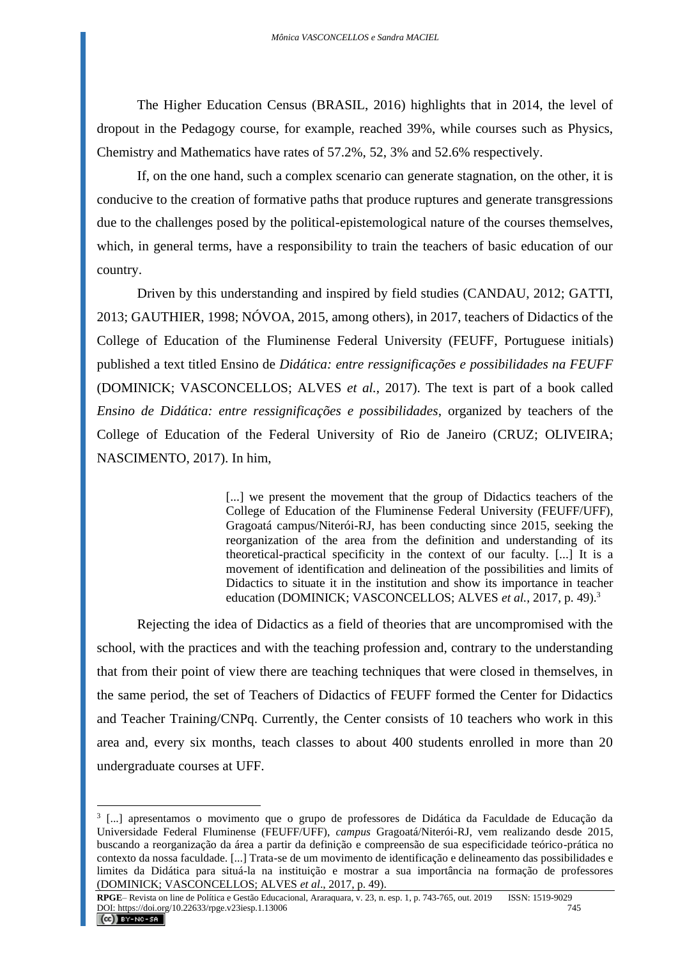The Higher Education Census (BRASIL, 2016) highlights that in 2014, the level of dropout in the Pedagogy course, for example, reached 39%, while courses such as Physics, Chemistry and Mathematics have rates of 57.2%, 52, 3% and 52.6% respectively.

If, on the one hand, such a complex scenario can generate stagnation, on the other, it is conducive to the creation of formative paths that produce ruptures and generate transgressions due to the challenges posed by the political-epistemological nature of the courses themselves, which, in general terms, have a responsibility to train the teachers of basic education of our country.

Driven by this understanding and inspired by field studies (CANDAU, 2012; GATTI, 2013; GAUTHIER, 1998; NÓVOA, 2015, among others), in 2017, teachers of Didactics of the College of Education of the Fluminense Federal University (FEUFF, Portuguese initials) published a text titled Ensino de *Didática: entre ressignificações e possibilidades na FEUFF* (DOMINICK; VASCONCELLOS; ALVES *et al.*, 2017). The text is part of a book called *Ensino de Didática: entre ressignificações e possibilidades*, organized by teachers of the College of Education of the Federal University of Rio de Janeiro (CRUZ; OLIVEIRA; NASCIMENTO, 2017). In him,

> [...] we present the movement that the group of Didactics teachers of the College of Education of the Fluminense Federal University (FEUFF/UFF), Gragoatá campus/Niterói-RJ, has been conducting since 2015, seeking the reorganization of the area from the definition and understanding of its theoretical-practical specificity in the context of our faculty. [...] It is a movement of identification and delineation of the possibilities and limits of Didactics to situate it in the institution and show its importance in teacher education (DOMINICK; VASCONCELLOS; ALVES *et al.*, 2017, p. 49).<sup>3</sup>

Rejecting the idea of Didactics as a field of theories that are uncompromised with the school, with the practices and with the teaching profession and, contrary to the understanding that from their point of view there are teaching techniques that were closed in themselves, in the same period, the set of Teachers of Didactics of FEUFF formed the Center for Didactics and Teacher Training/CNPq. Currently, the Center consists of 10 teachers who work in this area and, every six months, teach classes to about 400 students enrolled in more than 20 undergraduate courses at UFF.

<sup>3</sup> [...] apresentamos o movimento que o grupo de professores de Didática da Faculdade de Educação da Universidade Federal Fluminense (FEUFF/UFF), *campus* Gragoatá/Niterói-RJ, vem realizando desde 2015, buscando a reorganização da área a partir da definição e compreensão de sua especificidade teórico-prática no contexto da nossa faculdade. [...] Trata-se de um movimento de identificação e delineamento das possibilidades e limites da Didática para situá-la na instituição e mostrar a sua importância na formação de professores (DOMINICK; VASCONCELLOS; ALVES *et al*., 2017, p. 49).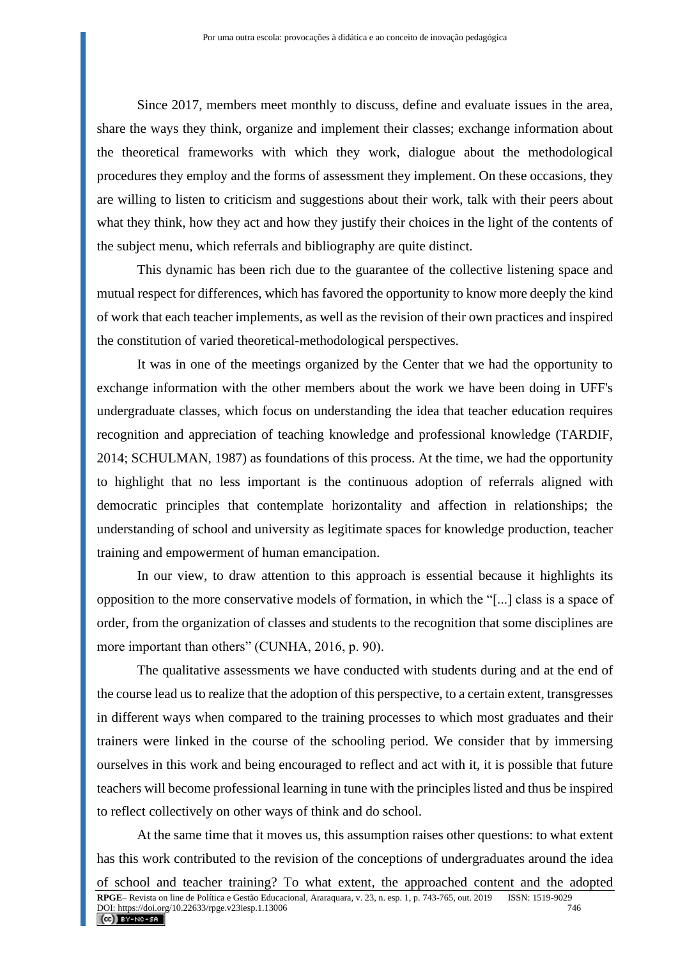Since 2017, members meet monthly to discuss, define and evaluate issues in the area, share the ways they think, organize and implement their classes; exchange information about the theoretical frameworks with which they work, dialogue about the methodological procedures they employ and the forms of assessment they implement. On these occasions, they are willing to listen to criticism and suggestions about their work, talk with their peers about what they think, how they act and how they justify their choices in the light of the contents of the subject menu, which referrals and bibliography are quite distinct.

This dynamic has been rich due to the guarantee of the collective listening space and mutual respect for differences, which has favored the opportunity to know more deeply the kind of work that each teacher implements, as well as the revision of their own practices and inspired the constitution of varied theoretical-methodological perspectives.

It was in one of the meetings organized by the Center that we had the opportunity to exchange information with the other members about the work we have been doing in UFF's undergraduate classes, which focus on understanding the idea that teacher education requires recognition and appreciation of teaching knowledge and professional knowledge (TARDIF, 2014; SCHULMAN, 1987) as foundations of this process. At the time, we had the opportunity to highlight that no less important is the continuous adoption of referrals aligned with democratic principles that contemplate horizontality and affection in relationships; the understanding of school and university as legitimate spaces for knowledge production, teacher training and empowerment of human emancipation.

In our view, to draw attention to this approach is essential because it highlights its opposition to the more conservative models of formation, in which the "[...] class is a space of order, from the organization of classes and students to the recognition that some disciplines are more important than others" (CUNHA, 2016, p. 90).

The qualitative assessments we have conducted with students during and at the end of the course lead us to realize that the adoption of this perspective, to a certain extent, transgresses in different ways when compared to the training processes to which most graduates and their trainers were linked in the course of the schooling period. We consider that by immersing ourselves in this work and being encouraged to reflect and act with it, it is possible that future teachers will become professional learning in tune with the principles listed and thus be inspired to reflect collectively on other ways of think and do school.

At the same time that it moves us, this assumption raises other questions: to what extent has this work contributed to the revision of the conceptions of undergraduates around the idea of school and teacher training? To what extent, the approached content and the adopted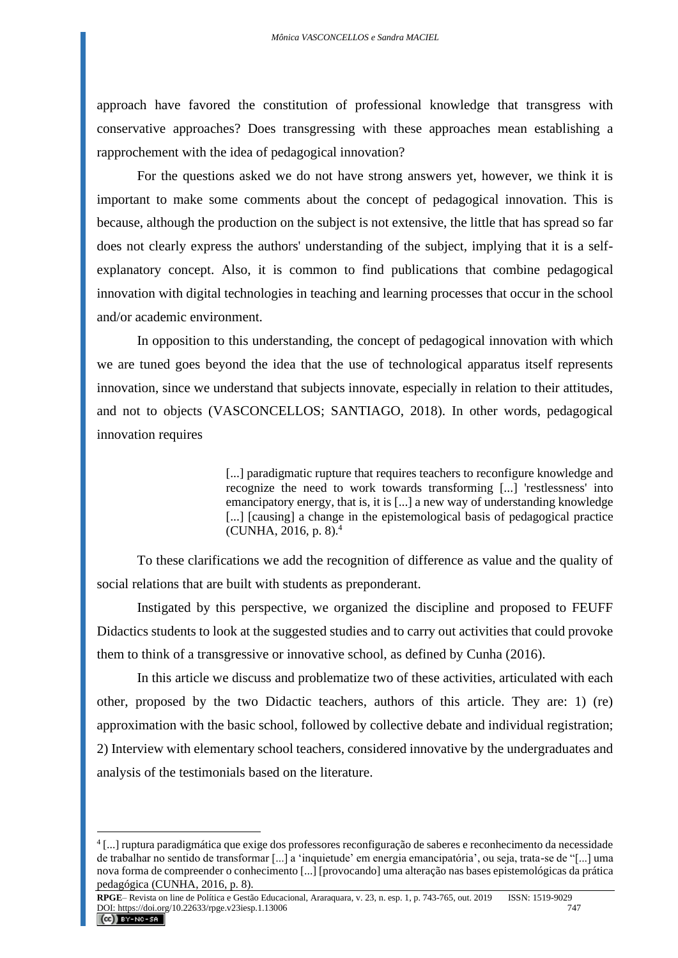approach have favored the constitution of professional knowledge that transgress with conservative approaches? Does transgressing with these approaches mean establishing a rapprochement with the idea of pedagogical innovation?

For the questions asked we do not have strong answers yet, however, we think it is important to make some comments about the concept of pedagogical innovation. This is because, although the production on the subject is not extensive, the little that has spread so far does not clearly express the authors' understanding of the subject, implying that it is a selfexplanatory concept. Also, it is common to find publications that combine pedagogical innovation with digital technologies in teaching and learning processes that occur in the school and/or academic environment.

In opposition to this understanding, the concept of pedagogical innovation with which we are tuned goes beyond the idea that the use of technological apparatus itself represents innovation, since we understand that subjects innovate, especially in relation to their attitudes, and not to objects (VASCONCELLOS; SANTIAGO, 2018). In other words, pedagogical innovation requires

> [...] paradigmatic rupture that requires teachers to reconfigure knowledge and recognize the need to work towards transforming [...] 'restlessness' into emancipatory energy, that is, it is [...] a new way of understanding knowledge [...] [causing] a change in the epistemological basis of pedagogical practice (CUNHA, 2016, p. 8).<sup>4</sup>

To these clarifications we add the recognition of difference as value and the quality of social relations that are built with students as preponderant.

Instigated by this perspective, we organized the discipline and proposed to FEUFF Didactics students to look at the suggested studies and to carry out activities that could provoke them to think of a transgressive or innovative school, as defined by Cunha (2016).

In this article we discuss and problematize two of these activities, articulated with each other, proposed by the two Didactic teachers, authors of this article. They are: 1) (re) approximation with the basic school, followed by collective debate and individual registration; 2) Interview with elementary school teachers, considered innovative by the undergraduates and analysis of the testimonials based on the literature.

<sup>4</sup> [...] ruptura paradigmática que exige dos professores reconfiguração de saberes e reconhecimento da necessidade de trabalhar no sentido de transformar [...] a 'inquietude' em energia emancipatória', ou seja, trata-se de "[...] uma nova forma de compreender o conhecimento [...] [provocando] uma alteração nas bases epistemológicas da prática pedagógica (CUNHA, 2016, p. 8).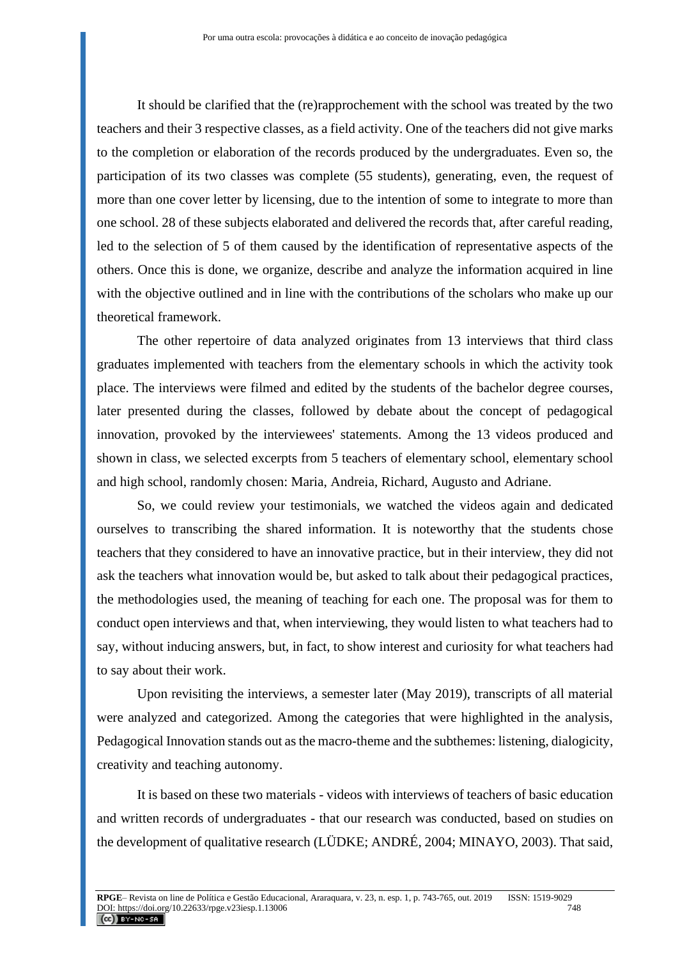It should be clarified that the (re)rapprochement with the school was treated by the two teachers and their 3 respective classes, as a field activity. One of the teachers did not give marks to the completion or elaboration of the records produced by the undergraduates. Even so, the participation of its two classes was complete (55 students), generating, even, the request of more than one cover letter by licensing, due to the intention of some to integrate to more than one school. 28 of these subjects elaborated and delivered the records that, after careful reading, led to the selection of 5 of them caused by the identification of representative aspects of the others. Once this is done, we organize, describe and analyze the information acquired in line with the objective outlined and in line with the contributions of the scholars who make up our theoretical framework.

The other repertoire of data analyzed originates from 13 interviews that third class graduates implemented with teachers from the elementary schools in which the activity took place. The interviews were filmed and edited by the students of the bachelor degree courses, later presented during the classes, followed by debate about the concept of pedagogical innovation, provoked by the interviewees' statements. Among the 13 videos produced and shown in class, we selected excerpts from 5 teachers of elementary school, elementary school and high school, randomly chosen: Maria, Andreia, Richard, Augusto and Adriane.

So, we could review your testimonials, we watched the videos again and dedicated ourselves to transcribing the shared information. It is noteworthy that the students chose teachers that they considered to have an innovative practice, but in their interview, they did not ask the teachers what innovation would be, but asked to talk about their pedagogical practices, the methodologies used, the meaning of teaching for each one. The proposal was for them to conduct open interviews and that, when interviewing, they would listen to what teachers had to say, without inducing answers, but, in fact, to show interest and curiosity for what teachers had to say about their work.

Upon revisiting the interviews, a semester later (May 2019), transcripts of all material were analyzed and categorized. Among the categories that were highlighted in the analysis, Pedagogical Innovation stands out as the macro-theme and the subthemes: listening, dialogicity, creativity and teaching autonomy.

It is based on these two materials - videos with interviews of teachers of basic education and written records of undergraduates - that our research was conducted, based on studies on the development of qualitative research (LÜDKE; ANDRÉ, 2004; MINAYO, 2003). That said,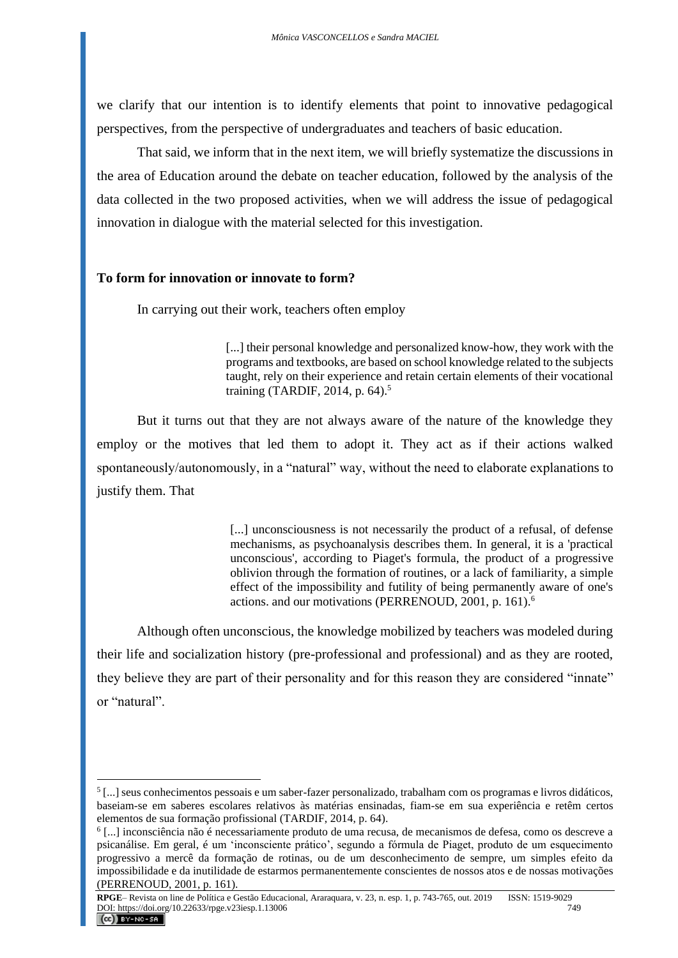we clarify that our intention is to identify elements that point to innovative pedagogical perspectives, from the perspective of undergraduates and teachers of basic education.

That said, we inform that in the next item, we will briefly systematize the discussions in the area of Education around the debate on teacher education, followed by the analysis of the data collected in the two proposed activities, when we will address the issue of pedagogical innovation in dialogue with the material selected for this investigation.

### **To form for innovation or innovate to form?**

In carrying out their work, teachers often employ

[...] their personal knowledge and personalized know-how, they work with the programs and textbooks, are based on school knowledge related to the subjects taught, rely on their experience and retain certain elements of their vocational training (TARDIF, 2014, p. 64).<sup>5</sup>

But it turns out that they are not always aware of the nature of the knowledge they employ or the motives that led them to adopt it. They act as if their actions walked spontaneously/autonomously, in a "natural" way, without the need to elaborate explanations to justify them. That

> [...] unconsciousness is not necessarily the product of a refusal, of defense mechanisms, as psychoanalysis describes them. In general, it is a 'practical unconscious', according to Piaget's formula, the product of a progressive oblivion through the formation of routines, or a lack of familiarity, a simple effect of the impossibility and futility of being permanently aware of one's actions. and our motivations (PERRENOUD, 2001, p. 161).<sup>6</sup>

Although often unconscious, the knowledge mobilized by teachers was modeled during their life and socialization history (pre-professional and professional) and as they are rooted, they believe they are part of their personality and for this reason they are considered "innate" or "natural".

<sup>5</sup> [...] seus conhecimentos pessoais e um saber-fazer personalizado, trabalham com os programas e livros didáticos, baseiam-se em saberes escolares relativos às matérias ensinadas, fiam-se em sua experiência e retêm certos elementos de sua formação profissional (TARDIF, 2014, p. 64).

<sup>6</sup> [...] inconsciência não é necessariamente produto de uma recusa, de mecanismos de defesa, como os descreve a psicanálise. Em geral, é um 'inconsciente prático', segundo a fórmula de Piaget, produto de um esquecimento progressivo a mercê da formação de rotinas, ou de um desconhecimento de sempre, um simples efeito da impossibilidade e da inutilidade de estarmos permanentemente conscientes de nossos atos e de nossas motivações (PERRENOUD, 2001, p. 161).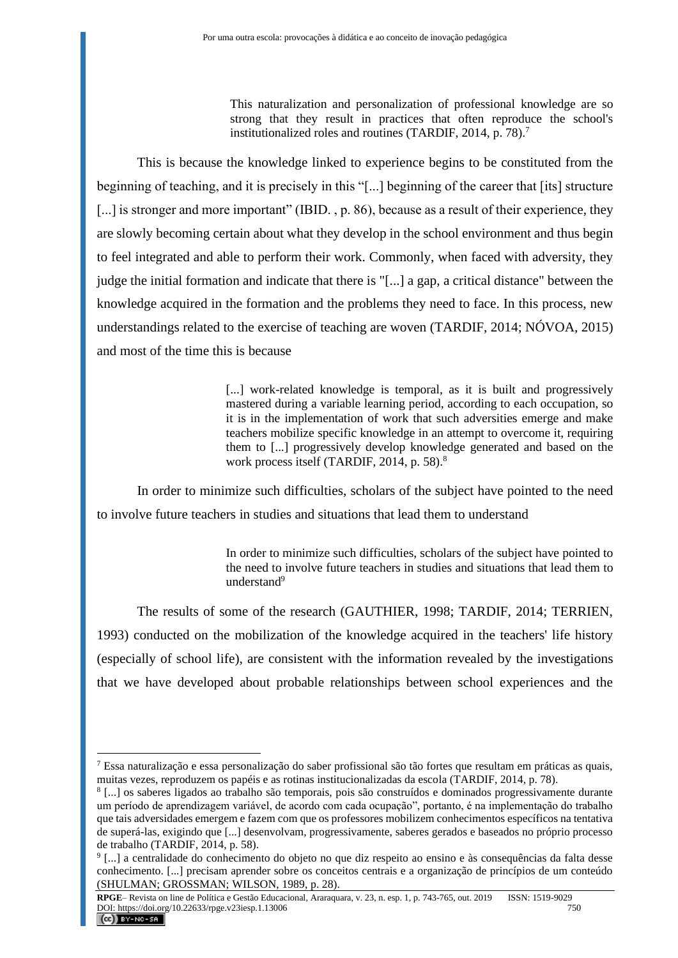This naturalization and personalization of professional knowledge are so strong that they result in practices that often reproduce the school's institutionalized roles and routines (TARDIF, 2014, p. 78).<sup>7</sup>

This is because the knowledge linked to experience begins to be constituted from the beginning of teaching, and it is precisely in this "[...] beginning of the career that [its] structure [...] is stronger and more important" (IBID., p. 86), because as a result of their experience, they are slowly becoming certain about what they develop in the school environment and thus begin to feel integrated and able to perform their work. Commonly, when faced with adversity, they judge the initial formation and indicate that there is "[...] a gap, a critical distance" between the knowledge acquired in the formation and the problems they need to face. In this process, new understandings related to the exercise of teaching are woven (TARDIF, 2014; NÓVOA, 2015) and most of the time this is because

> [...] work-related knowledge is temporal, as it is built and progressively mastered during a variable learning period, according to each occupation, so it is in the implementation of work that such adversities emerge and make teachers mobilize specific knowledge in an attempt to overcome it, requiring them to [...] progressively develop knowledge generated and based on the work process itself (TARDIF, 2014, p. 58).<sup>8</sup>

In order to minimize such difficulties, scholars of the subject have pointed to the need to involve future teachers in studies and situations that lead them to understand

> In order to minimize such difficulties, scholars of the subject have pointed to the need to involve future teachers in studies and situations that lead them to understand<sup>9</sup>

The results of some of the research (GAUTHIER, 1998; TARDIF, 2014; TERRIEN, 1993) conducted on the mobilization of the knowledge acquired in the teachers' life history (especially of school life), are consistent with the information revealed by the investigations that we have developed about probable relationships between school experiences and the

<sup>7</sup> Essa naturalização e essa personalização do saber profissional são tão fortes que resultam em práticas as quais, muitas vezes, reproduzem os papéis e as rotinas institucionalizadas da escola (TARDIF, 2014, p. 78).

<sup>8</sup> [...] os saberes ligados ao trabalho são temporais, pois são construídos e dominados progressivamente durante um período de aprendizagem variável, de acordo com cada ocupação", portanto, é na implementação do trabalho que tais adversidades emergem e fazem com que os professores mobilizem conhecimentos específicos na tentativa de superá-las, exigindo que [...] desenvolvam, progressivamente, saberes gerados e baseados no próprio processo de trabalho (TARDIF, 2014, p. 58).

<sup>9</sup> [...] a centralidade do conhecimento do objeto no que diz respeito ao ensino e às consequências da falta desse conhecimento. [...] precisam aprender sobre os conceitos centrais e a organização de princípios de um conteúdo (SHULMAN; GROSSMAN; WILSON, 1989, p. 28).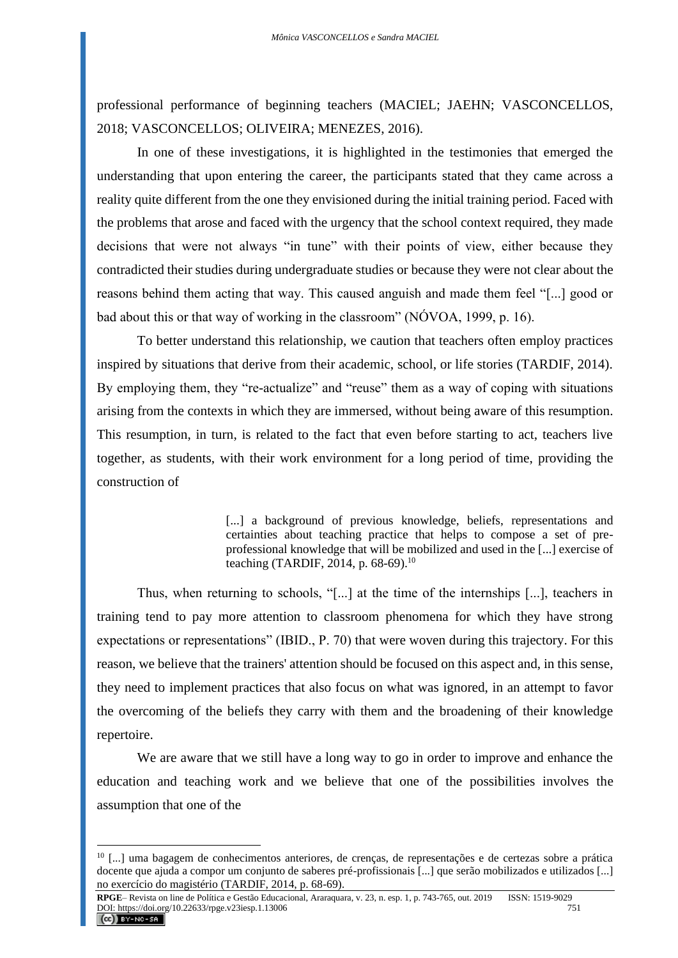professional performance of beginning teachers (MACIEL; JAEHN; VASCONCELLOS, 2018; VASCONCELLOS; OLIVEIRA; MENEZES, 2016).

In one of these investigations, it is highlighted in the testimonies that emerged the understanding that upon entering the career, the participants stated that they came across a reality quite different from the one they envisioned during the initial training period. Faced with the problems that arose and faced with the urgency that the school context required, they made decisions that were not always "in tune" with their points of view, either because they contradicted their studies during undergraduate studies or because they were not clear about the reasons behind them acting that way. This caused anguish and made them feel "[...] good or bad about this or that way of working in the classroom" (NÓVOA, 1999, p. 16).

To better understand this relationship, we caution that teachers often employ practices inspired by situations that derive from their academic, school, or life stories (TARDIF, 2014). By employing them, they "re-actualize" and "reuse" them as a way of coping with situations arising from the contexts in which they are immersed, without being aware of this resumption. This resumption, in turn, is related to the fact that even before starting to act, teachers live together, as students, with their work environment for a long period of time, providing the construction of

> [...] a background of previous knowledge, beliefs, representations and certainties about teaching practice that helps to compose a set of preprofessional knowledge that will be mobilized and used in the [...] exercise of teaching (TARDIF, 2014, p. 68-69).<sup>10</sup>

Thus, when returning to schools, "[...] at the time of the internships [...], teachers in training tend to pay more attention to classroom phenomena for which they have strong expectations or representations" (IBID., P. 70) that were woven during this trajectory. For this reason, we believe that the trainers' attention should be focused on this aspect and, in this sense, they need to implement practices that also focus on what was ignored, in an attempt to favor the overcoming of the beliefs they carry with them and the broadening of their knowledge repertoire.

We are aware that we still have a long way to go in order to improve and enhance the education and teaching work and we believe that one of the possibilities involves the assumption that one of the

<sup>10</sup> [...] uma bagagem de conhecimentos anteriores, de crenças, de representações e de certezas sobre a prática docente que ajuda a compor um conjunto de saberes pré-profissionais [...] que serão mobilizados e utilizados [...] no exercício do magistério (TARDIF, 2014, p. 68-69).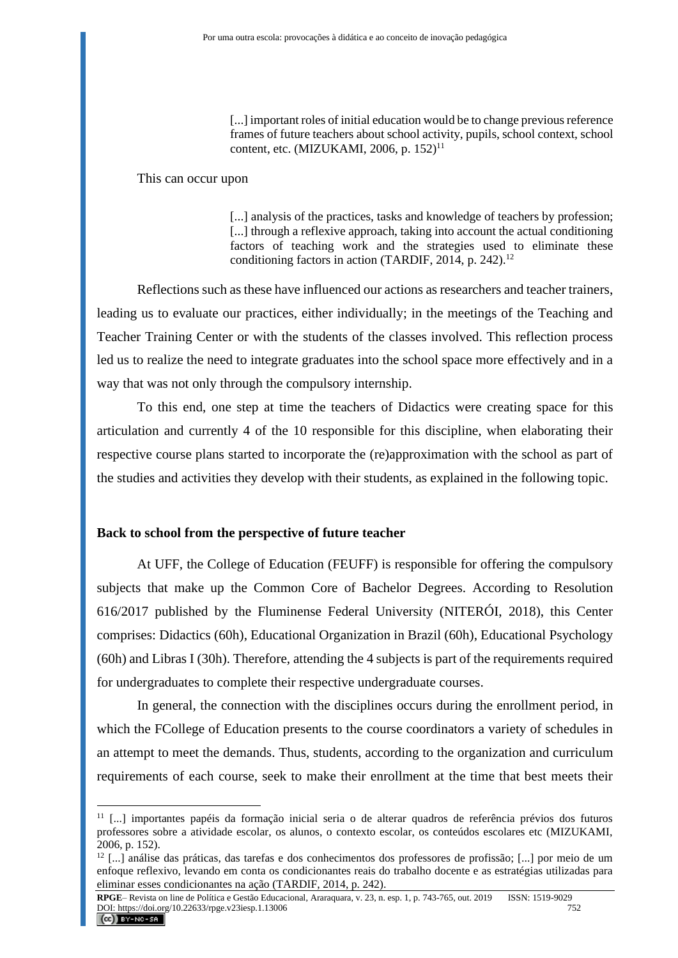[...] important roles of initial education would be to change previous reference frames of future teachers about school activity, pupils, school context, school content, etc. (MIZUKAMI, 2006, p.  $152$ )<sup>11</sup>

#### This can occur upon

[...] analysis of the practices, tasks and knowledge of teachers by profession; [...] through a reflexive approach, taking into account the actual conditioning factors of teaching work and the strategies used to eliminate these conditioning factors in action (TARDIF, 2014, p. 242).<sup>12</sup>

Reflections such as these have influenced our actions as researchers and teacher trainers, leading us to evaluate our practices, either individually; in the meetings of the Teaching and Teacher Training Center or with the students of the classes involved. This reflection process led us to realize the need to integrate graduates into the school space more effectively and in a way that was not only through the compulsory internship.

To this end, one step at time the teachers of Didactics were creating space for this articulation and currently 4 of the 10 responsible for this discipline, when elaborating their respective course plans started to incorporate the (re)approximation with the school as part of the studies and activities they develop with their students, as explained in the following topic.

## **Back to school from the perspective of future teacher**

At UFF, the College of Education (FEUFF) is responsible for offering the compulsory subjects that make up the Common Core of Bachelor Degrees. According to Resolution 616/2017 published by the Fluminense Federal University (NITERÓI, 2018), this Center comprises: Didactics (60h), Educational Organization in Brazil (60h), Educational Psychology (60h) and Libras I (30h). Therefore, attending the 4 subjects is part of the requirements required for undergraduates to complete their respective undergraduate courses.

In general, the connection with the disciplines occurs during the enrollment period, in which the FCollege of Education presents to the course coordinators a variety of schedules in an attempt to meet the demands. Thus, students, according to the organization and curriculum requirements of each course, seek to make their enrollment at the time that best meets their

<sup>11</sup> [...] importantes papéis da formação inicial seria o de alterar quadros de referência prévios dos futuros professores sobre a atividade escolar, os alunos, o contexto escolar, os conteúdos escolares etc (MIZUKAMI, 2006, p. 152).

<sup>12</sup> [...] análise das práticas, das tarefas e dos conhecimentos dos professores de profissão; [...] por meio de um enfoque reflexivo, levando em conta os condicionantes reais do trabalho docente e as estratégias utilizadas para eliminar esses condicionantes na ação (TARDIF, 2014, p. 242).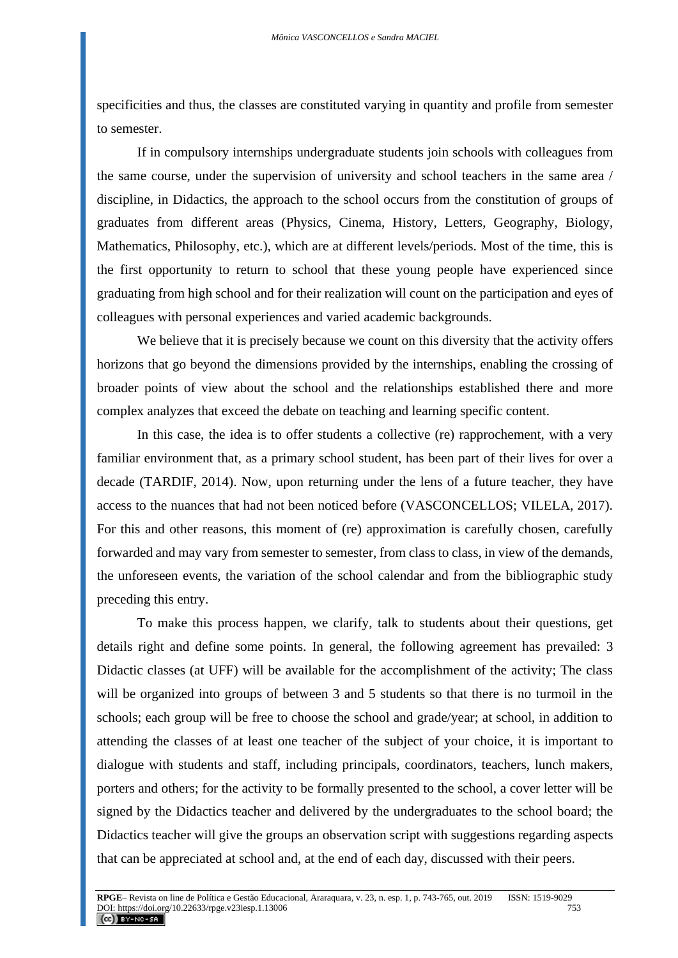specificities and thus, the classes are constituted varying in quantity and profile from semester to semester.

If in compulsory internships undergraduate students join schools with colleagues from the same course, under the supervision of university and school teachers in the same area / discipline, in Didactics, the approach to the school occurs from the constitution of groups of graduates from different areas (Physics, Cinema, History, Letters, Geography, Biology, Mathematics, Philosophy, etc.), which are at different levels/periods. Most of the time, this is the first opportunity to return to school that these young people have experienced since graduating from high school and for their realization will count on the participation and eyes of colleagues with personal experiences and varied academic backgrounds.

We believe that it is precisely because we count on this diversity that the activity offers horizons that go beyond the dimensions provided by the internships, enabling the crossing of broader points of view about the school and the relationships established there and more complex analyzes that exceed the debate on teaching and learning specific content.

In this case, the idea is to offer students a collective (re) rapprochement, with a very familiar environment that, as a primary school student, has been part of their lives for over a decade (TARDIF, 2014). Now, upon returning under the lens of a future teacher, they have access to the nuances that had not been noticed before (VASCONCELLOS; VILELA, 2017). For this and other reasons, this moment of (re) approximation is carefully chosen, carefully forwarded and may vary from semester to semester, from class to class, in view of the demands, the unforeseen events, the variation of the school calendar and from the bibliographic study preceding this entry.

To make this process happen, we clarify, talk to students about their questions, get details right and define some points. In general, the following agreement has prevailed: 3 Didactic classes (at UFF) will be available for the accomplishment of the activity; The class will be organized into groups of between 3 and 5 students so that there is no turmoil in the schools; each group will be free to choose the school and grade/year; at school, in addition to attending the classes of at least one teacher of the subject of your choice, it is important to dialogue with students and staff, including principals, coordinators, teachers, lunch makers, porters and others; for the activity to be formally presented to the school, a cover letter will be signed by the Didactics teacher and delivered by the undergraduates to the school board; the Didactics teacher will give the groups an observation script with suggestions regarding aspects that can be appreciated at school and, at the end of each day, discussed with their peers.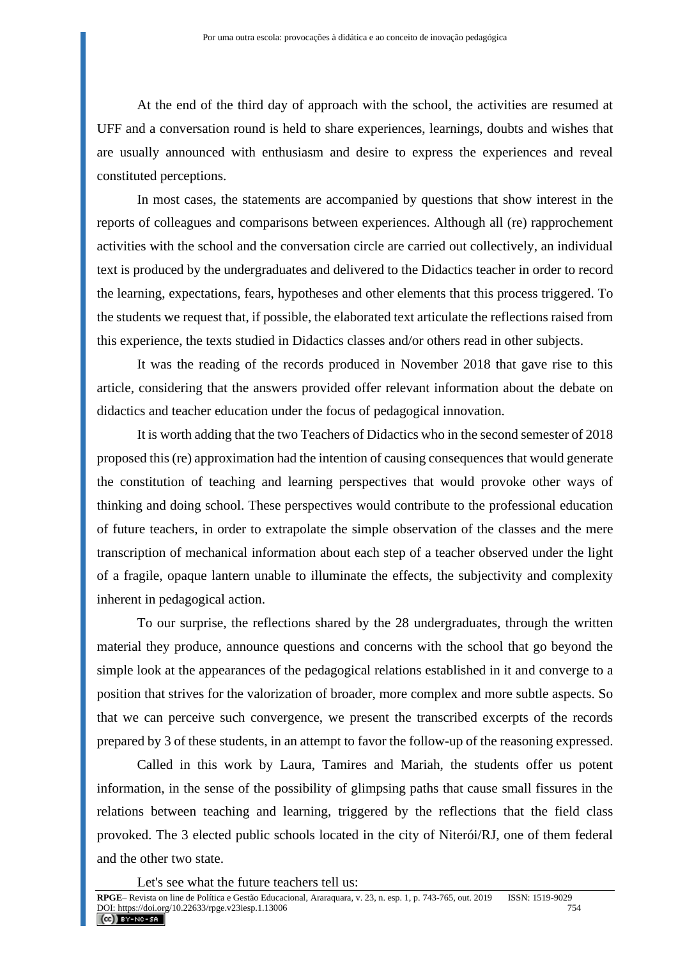At the end of the third day of approach with the school, the activities are resumed at UFF and a conversation round is held to share experiences, learnings, doubts and wishes that are usually announced with enthusiasm and desire to express the experiences and reveal constituted perceptions.

In most cases, the statements are accompanied by questions that show interest in the reports of colleagues and comparisons between experiences. Although all (re) rapprochement activities with the school and the conversation circle are carried out collectively, an individual text is produced by the undergraduates and delivered to the Didactics teacher in order to record the learning, expectations, fears, hypotheses and other elements that this process triggered. To the students we request that, if possible, the elaborated text articulate the reflections raised from this experience, the texts studied in Didactics classes and/or others read in other subjects.

It was the reading of the records produced in November 2018 that gave rise to this article, considering that the answers provided offer relevant information about the debate on didactics and teacher education under the focus of pedagogical innovation.

It is worth adding that the two Teachers of Didactics who in the second semester of 2018 proposed this (re) approximation had the intention of causing consequences that would generate the constitution of teaching and learning perspectives that would provoke other ways of thinking and doing school. These perspectives would contribute to the professional education of future teachers, in order to extrapolate the simple observation of the classes and the mere transcription of mechanical information about each step of a teacher observed under the light of a fragile, opaque lantern unable to illuminate the effects, the subjectivity and complexity inherent in pedagogical action.

To our surprise, the reflections shared by the 28 undergraduates, through the written material they produce, announce questions and concerns with the school that go beyond the simple look at the appearances of the pedagogical relations established in it and converge to a position that strives for the valorization of broader, more complex and more subtle aspects. So that we can perceive such convergence, we present the transcribed excerpts of the records prepared by 3 of these students, in an attempt to favor the follow-up of the reasoning expressed.

Called in this work by Laura, Tamires and Mariah, the students offer us potent information, in the sense of the possibility of glimpsing paths that cause small fissures in the relations between teaching and learning, triggered by the reflections that the field class provoked. The 3 elected public schools located in the city of Niterói/RJ, one of them federal and the other two state.

Let's see what the future teachers tell us: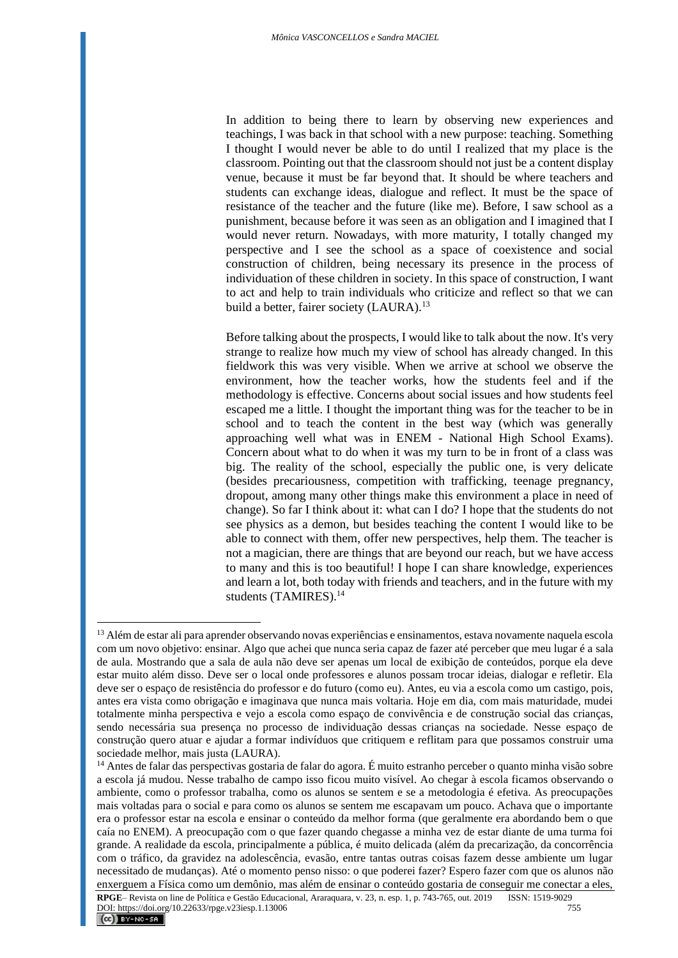In addition to being there to learn by observing new experiences and teachings, I was back in that school with a new purpose: teaching. Something I thought I would never be able to do until I realized that my place is the classroom. Pointing out that the classroom should not just be a content display venue, because it must be far beyond that. It should be where teachers and students can exchange ideas, dialogue and reflect. It must be the space of resistance of the teacher and the future (like me). Before, I saw school as a punishment, because before it was seen as an obligation and I imagined that I would never return. Nowadays, with more maturity, I totally changed my perspective and I see the school as a space of coexistence and social construction of children, being necessary its presence in the process of individuation of these children in society. In this space of construction, I want to act and help to train individuals who criticize and reflect so that we can build a better, fairer society (LAURA).<sup>13</sup>

Before talking about the prospects, I would like to talk about the now. It's very strange to realize how much my view of school has already changed. In this fieldwork this was very visible. When we arrive at school we observe the environment, how the teacher works, how the students feel and if the methodology is effective. Concerns about social issues and how students feel escaped me a little. I thought the important thing was for the teacher to be in school and to teach the content in the best way (which was generally approaching well what was in ENEM - National High School Exams). Concern about what to do when it was my turn to be in front of a class was big. The reality of the school, especially the public one, is very delicate (besides precariousness, competition with trafficking, teenage pregnancy, dropout, among many other things make this environment a place in need of change). So far I think about it: what can I do? I hope that the students do not see physics as a demon, but besides teaching the content I would like to be able to connect with them, offer new perspectives, help them. The teacher is not a magician, there are things that are beyond our reach, but we have access to many and this is too beautiful! I hope I can share knowledge, experiences and learn a lot, both today with friends and teachers, and in the future with my students (TAMIRES).<sup>14</sup>

<sup>&</sup>lt;sup>13</sup> Além de estar ali para aprender observando novas experiências e ensinamentos, estava novamente naquela escola com um novo objetivo: ensinar. Algo que achei que nunca seria capaz de fazer até perceber que meu lugar é a sala de aula. Mostrando que a sala de aula não deve ser apenas um local de exibição de conteúdos, porque ela deve estar muito além disso. Deve ser o local onde professores e alunos possam trocar ideias, dialogar e refletir. Ela deve ser o espaço de resistência do professor e do futuro (como eu). Antes, eu via a escola como um castigo, pois, antes era vista como obrigação e imaginava que nunca mais voltaria. Hoje em dia, com mais maturidade, mudei totalmente minha perspectiva e vejo a escola como espaço de convivência e de construção social das crianças, sendo necessária sua presença no processo de individuação dessas crianças na sociedade. Nesse espaço de construção quero atuar e ajudar a formar indivíduos que critiquem e reflitam para que possamos construir uma sociedade melhor, mais justa (LAURA).

<sup>&</sup>lt;sup>14</sup> Antes de falar das perspectivas gostaria de falar do agora. É muito estranho perceber o quanto minha visão sobre a escola já mudou. Nesse trabalho de campo isso ficou muito visível. Ao chegar à escola ficamos observando o ambiente, como o professor trabalha, como os alunos se sentem e se a metodologia é efetiva. As preocupações mais voltadas para o social e para como os alunos se sentem me escapavam um pouco. Achava que o importante era o professor estar na escola e ensinar o conteúdo da melhor forma (que geralmente era abordando bem o que caía no ENEM). A preocupação com o que fazer quando chegasse a minha vez de estar diante de uma turma foi grande. A realidade da escola, principalmente a pública, é muito delicada (além da precarização, da concorrência com o tráfico, da gravidez na adolescência, evasão, entre tantas outras coisas fazem desse ambiente um lugar necessitado de mudanças). Até o momento penso nisso: o que poderei fazer? Espero fazer com que os alunos não enxerguem a Física como um demônio, mas além de ensinar o conteúdo gostaria de conseguir me conectar a eles,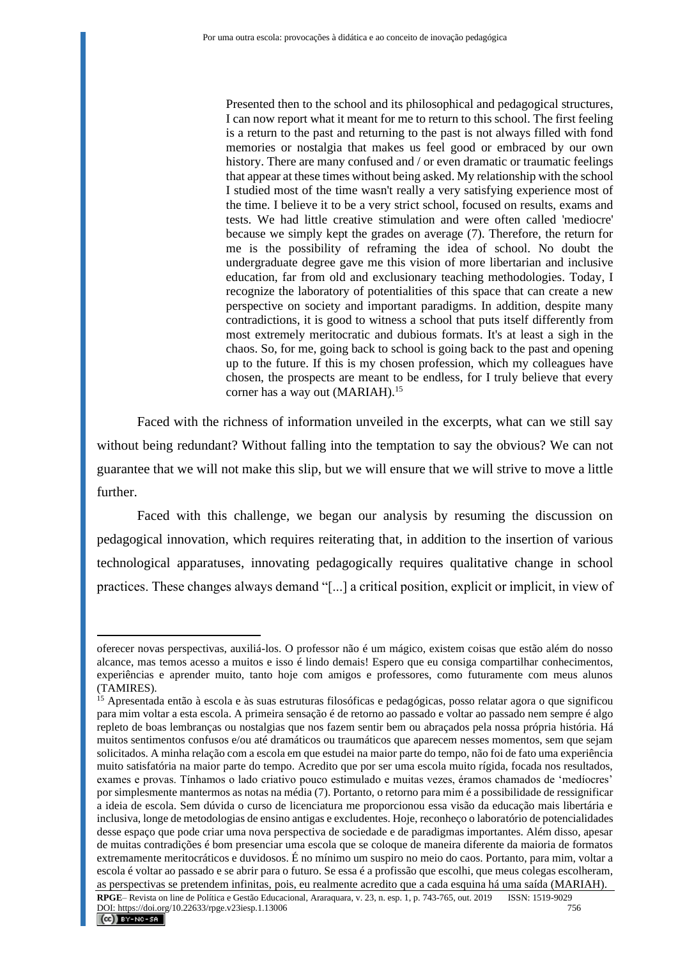Presented then to the school and its philosophical and pedagogical structures, I can now report what it meant for me to return to this school. The first feeling is a return to the past and returning to the past is not always filled with fond memories or nostalgia that makes us feel good or embraced by our own history. There are many confused and / or even dramatic or traumatic feelings that appear at these times without being asked. My relationship with the school I studied most of the time wasn't really a very satisfying experience most of the time. I believe it to be a very strict school, focused on results, exams and tests. We had little creative stimulation and were often called 'mediocre' because we simply kept the grades on average (7). Therefore, the return for me is the possibility of reframing the idea of school. No doubt the undergraduate degree gave me this vision of more libertarian and inclusive education, far from old and exclusionary teaching methodologies. Today, I recognize the laboratory of potentialities of this space that can create a new perspective on society and important paradigms. In addition, despite many contradictions, it is good to witness a school that puts itself differently from most extremely meritocratic and dubious formats. It's at least a sigh in the chaos. So, for me, going back to school is going back to the past and opening up to the future. If this is my chosen profession, which my colleagues have chosen, the prospects are meant to be endless, for I truly believe that every corner has a way out (MARIAH).<sup>15</sup>

Faced with the richness of information unveiled in the excerpts, what can we still say without being redundant? Without falling into the temptation to say the obvious? We can not guarantee that we will not make this slip, but we will ensure that we will strive to move a little further.

Faced with this challenge, we began our analysis by resuming the discussion on pedagogical innovation, which requires reiterating that, in addition to the insertion of various technological apparatuses, innovating pedagogically requires qualitative change in school practices. These changes always demand "[...] a critical position, explicit or implicit, in view of

oferecer novas perspectivas, auxiliá-los. O professor não é um mágico, existem coisas que estão além do nosso alcance, mas temos acesso a muitos e isso é lindo demais! Espero que eu consiga compartilhar conhecimentos, experiências e aprender muito, tanto hoje com amigos e professores, como futuramente com meus alunos (TAMIRES).

<sup>&</sup>lt;sup>15</sup> Apresentada então à escola e às suas estruturas filosóficas e pedagógicas, posso relatar agora o que significou para mim voltar a esta escola. A primeira sensação é de retorno ao passado e voltar ao passado nem sempre é algo repleto de boas lembranças ou nostalgias que nos fazem sentir bem ou abraçados pela nossa própria história. Há muitos sentimentos confusos e/ou até dramáticos ou traumáticos que aparecem nesses momentos, sem que sejam solicitados. A minha relação com a escola em que estudei na maior parte do tempo, não foi de fato uma experiência muito satisfatória na maior parte do tempo. Acredito que por ser uma escola muito rígida, focada nos resultados, exames e provas. Tínhamos o lado criativo pouco estimulado e muitas vezes, éramos chamados de 'medíocres' por simplesmente mantermos as notas na média (7). Portanto, o retorno para mim é a possibilidade de ressignificar a ideia de escola. Sem dúvida o curso de licenciatura me proporcionou essa visão da educação mais libertária e inclusiva, longe de metodologias de ensino antigas e excludentes. Hoje, reconheço o laboratório de potencialidades desse espaço que pode criar uma nova perspectiva de sociedade e de paradigmas importantes. Além disso, apesar de muitas contradições é bom presenciar uma escola que se coloque de maneira diferente da maioria de formatos extremamente meritocráticos e duvidosos. É no mínimo um suspiro no meio do caos. Portanto, para mim, voltar a escola é voltar ao passado e se abrir para o futuro. Se essa é a profissão que escolhi, que meus colegas escolheram, as perspectivas se pretendem infinitas, pois, eu realmente acredito que a cada esquina há uma saída (MARIAH).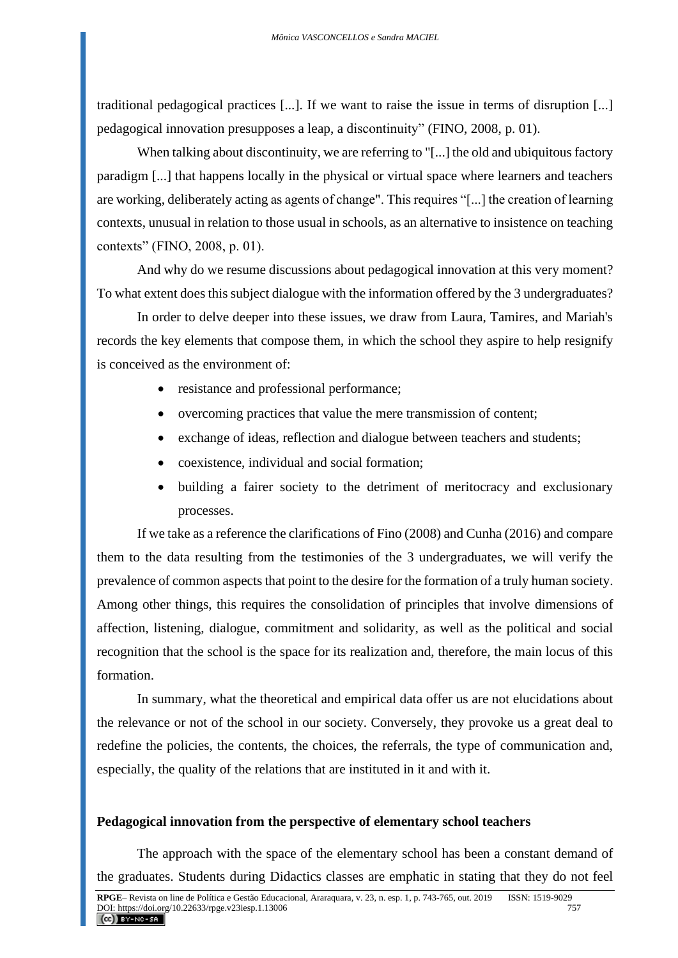traditional pedagogical practices [...]. If we want to raise the issue in terms of disruption [...] pedagogical innovation presupposes a leap, a discontinuity" (FINO, 2008, p. 01).

When talking about discontinuity, we are referring to "[...] the old and ubiquitous factory paradigm [...] that happens locally in the physical or virtual space where learners and teachers are working, deliberately acting as agents of change". This requires "[...] the creation of learning contexts, unusual in relation to those usual in schools, as an alternative to insistence on teaching contexts" (FINO, 2008, p. 01).

And why do we resume discussions about pedagogical innovation at this very moment? To what extent does this subject dialogue with the information offered by the 3 undergraduates?

In order to delve deeper into these issues, we draw from Laura, Tamires, and Mariah's records the key elements that compose them, in which the school they aspire to help resignify is conceived as the environment of:

- resistance and professional performance;
- overcoming practices that value the mere transmission of content;
- exchange of ideas, reflection and dialogue between teachers and students;
- coexistence, individual and social formation:
- building a fairer society to the detriment of meritocracy and exclusionary processes.

If we take as a reference the clarifications of Fino (2008) and Cunha (2016) and compare them to the data resulting from the testimonies of the 3 undergraduates, we will verify the prevalence of common aspects that point to the desire for the formation of a truly human society. Among other things, this requires the consolidation of principles that involve dimensions of affection, listening, dialogue, commitment and solidarity, as well as the political and social recognition that the school is the space for its realization and, therefore, the main locus of this formation.

In summary, what the theoretical and empirical data offer us are not elucidations about the relevance or not of the school in our society. Conversely, they provoke us a great deal to redefine the policies, the contents, the choices, the referrals, the type of communication and, especially, the quality of the relations that are instituted in it and with it.

### **Pedagogical innovation from the perspective of elementary school teachers**

The approach with the space of the elementary school has been a constant demand of the graduates. Students during Didactics classes are emphatic in stating that they do not feel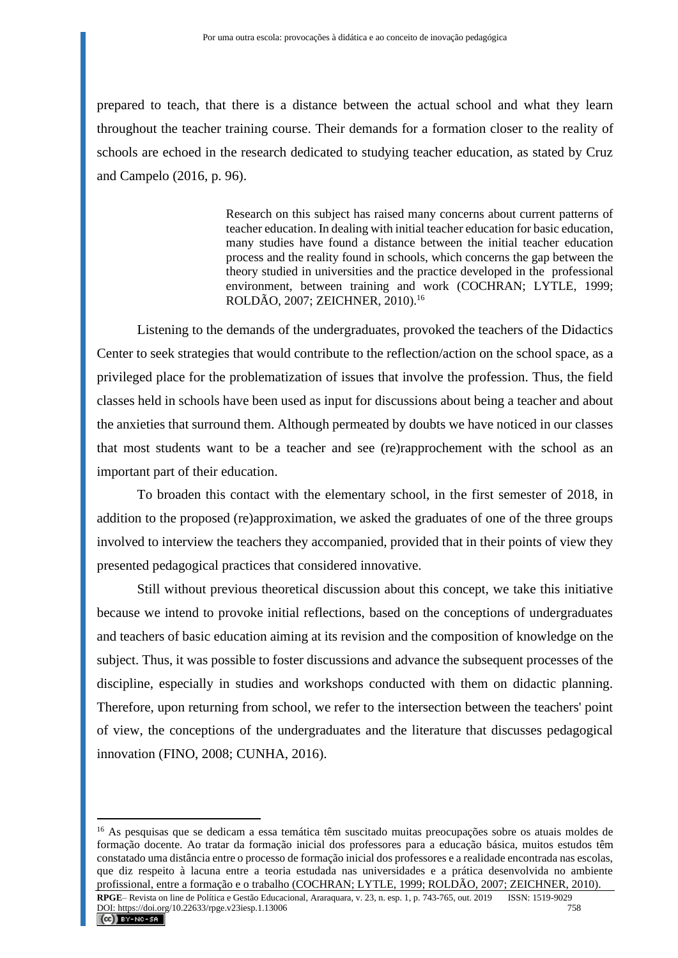prepared to teach, that there is a distance between the actual school and what they learn throughout the teacher training course. Their demands for a formation closer to the reality of schools are echoed in the research dedicated to studying teacher education, as stated by Cruz and Campelo (2016, p. 96).

> Research on this subject has raised many concerns about current patterns of teacher education. In dealing with initial teacher education for basic education, many studies have found a distance between the initial teacher education process and the reality found in schools, which concerns the gap between the theory studied in universities and the practice developed in the professional environment, between training and work (COCHRAN; LYTLE, 1999; ROLDÃO, 2007; ZEICHNER, 2010).<sup>16</sup>

Listening to the demands of the undergraduates, provoked the teachers of the Didactics Center to seek strategies that would contribute to the reflection/action on the school space, as a privileged place for the problematization of issues that involve the profession. Thus, the field classes held in schools have been used as input for discussions about being a teacher and about the anxieties that surround them. Although permeated by doubts we have noticed in our classes that most students want to be a teacher and see (re)rapprochement with the school as an important part of their education.

To broaden this contact with the elementary school, in the first semester of 2018, in addition to the proposed (re)approximation, we asked the graduates of one of the three groups involved to interview the teachers they accompanied, provided that in their points of view they presented pedagogical practices that considered innovative.

Still without previous theoretical discussion about this concept, we take this initiative because we intend to provoke initial reflections, based on the conceptions of undergraduates and teachers of basic education aiming at its revision and the composition of knowledge on the subject. Thus, it was possible to foster discussions and advance the subsequent processes of the discipline, especially in studies and workshops conducted with them on didactic planning. Therefore, upon returning from school, we refer to the intersection between the teachers' point of view, the conceptions of the undergraduates and the literature that discusses pedagogical innovation (FINO, 2008; CUNHA, 2016).

<sup>16</sup> As pesquisas que se dedicam a essa temática têm suscitado muitas preocupações sobre os atuais moldes de formação docente. Ao tratar da formação inicial dos professores para a educação básica, muitos estudos têm constatado uma distância entre o processo de formação inicial dos professores e a realidade encontrada nas escolas, que diz respeito à lacuna entre a teoria estudada nas universidades e a prática desenvolvida no ambiente profissional, entre a formação e o trabalho (COCHRAN; LYTLE, 1999; ROLDÃO, 2007; ZEICHNER, 2010).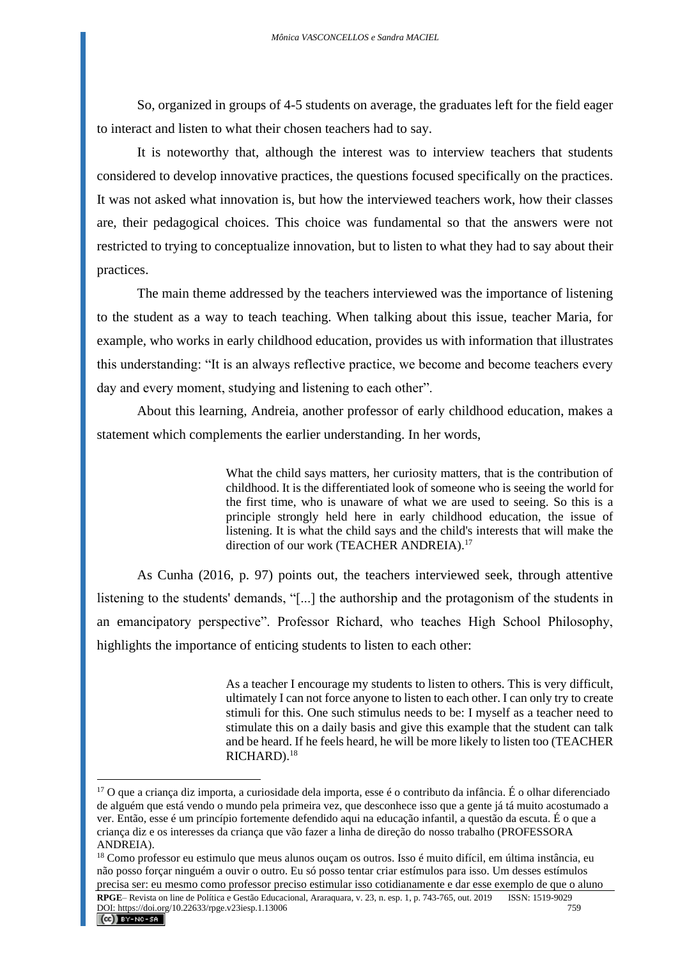So, organized in groups of 4-5 students on average, the graduates left for the field eager to interact and listen to what their chosen teachers had to say.

It is noteworthy that, although the interest was to interview teachers that students considered to develop innovative practices, the questions focused specifically on the practices. It was not asked what innovation is, but how the interviewed teachers work, how their classes are, their pedagogical choices. This choice was fundamental so that the answers were not restricted to trying to conceptualize innovation, but to listen to what they had to say about their practices.

The main theme addressed by the teachers interviewed was the importance of listening to the student as a way to teach teaching. When talking about this issue, teacher Maria, for example, who works in early childhood education, provides us with information that illustrates this understanding: "It is an always reflective practice, we become and become teachers every day and every moment, studying and listening to each other".

About this learning, Andreia, another professor of early childhood education, makes a statement which complements the earlier understanding. In her words,

> What the child says matters, her curiosity matters, that is the contribution of childhood. It is the differentiated look of someone who is seeing the world for the first time, who is unaware of what we are used to seeing. So this is a principle strongly held here in early childhood education, the issue of listening. It is what the child says and the child's interests that will make the direction of our work (TEACHER ANDREIA).<sup>17</sup>

As Cunha (2016, p. 97) points out, the teachers interviewed seek, through attentive listening to the students' demands, "[...] the authorship and the protagonism of the students in an emancipatory perspective". Professor Richard, who teaches High School Philosophy, highlights the importance of enticing students to listen to each other:

> As a teacher I encourage my students to listen to others. This is very difficult, ultimately I can not force anyone to listen to each other. I can only try to create stimuli for this. One such stimulus needs to be: I myself as a teacher need to stimulate this on a daily basis and give this example that the student can talk and be heard. If he feels heard, he will be more likely to listen too (TEACHER RICHARD).<sup>18</sup>

<sup>&</sup>lt;sup>17</sup> O que a criança diz importa, a curiosidade dela importa, esse é o contributo da infância. É o olhar diferenciado de alguém que está vendo o mundo pela primeira vez, que desconhece isso que a gente já tá muito acostumado a ver. Então, esse é um princípio fortemente defendido aqui na educação infantil, a questão da escuta. É o que a criança diz e os interesses da criança que vão fazer a linha de direção do nosso trabalho (PROFESSORA ANDREIA).

<sup>&</sup>lt;sup>18</sup> Como professor eu estimulo que meus alunos ouçam os outros. Isso é muito difícil, em última instância, eu não posso forçar ninguém a ouvir o outro. Eu só posso tentar criar estímulos para isso. Um desses estímulos precisa ser: eu mesmo como professor preciso estimular isso cotidianamente e dar esse exemplo de que o aluno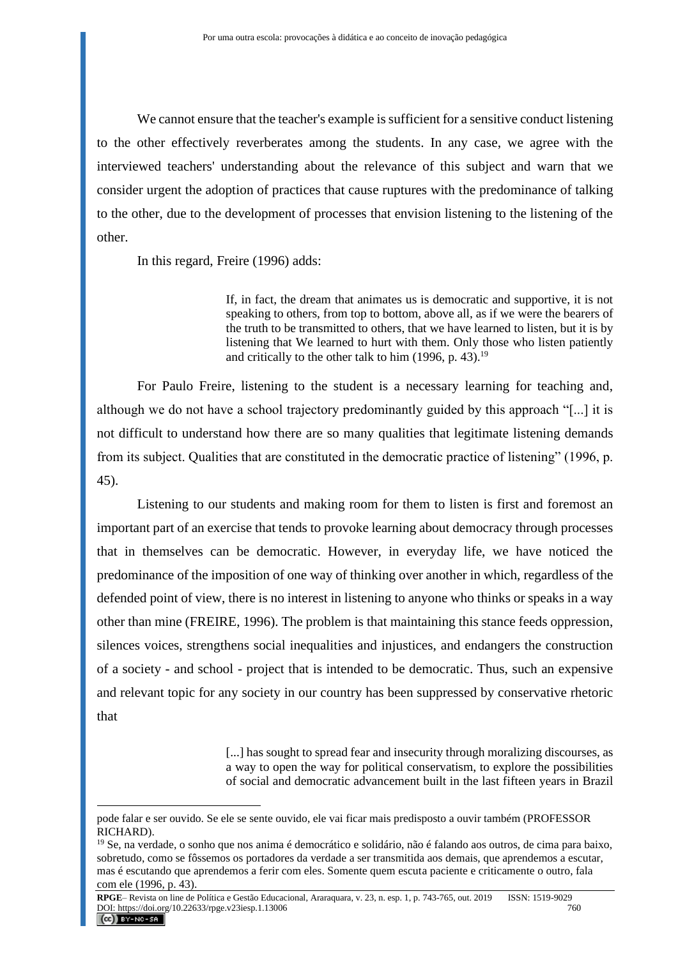We cannot ensure that the teacher's example is sufficient for a sensitive conduct listening to the other effectively reverberates among the students. In any case, we agree with the interviewed teachers' understanding about the relevance of this subject and warn that we consider urgent the adoption of practices that cause ruptures with the predominance of talking to the other, due to the development of processes that envision listening to the listening of the other.

In this regard, Freire (1996) adds:

If, in fact, the dream that animates us is democratic and supportive, it is not speaking to others, from top to bottom, above all, as if we were the bearers of the truth to be transmitted to others, that we have learned to listen, but it is by listening that We learned to hurt with them. Only those who listen patiently and critically to the other talk to him  $(1996, p. 43).$ <sup>19</sup>

For Paulo Freire, listening to the student is a necessary learning for teaching and, although we do not have a school trajectory predominantly guided by this approach "[...] it is not difficult to understand how there are so many qualities that legitimate listening demands from its subject. Qualities that are constituted in the democratic practice of listening" (1996, p. 45).

Listening to our students and making room for them to listen is first and foremost an important part of an exercise that tends to provoke learning about democracy through processes that in themselves can be democratic. However, in everyday life, we have noticed the predominance of the imposition of one way of thinking over another in which, regardless of the defended point of view, there is no interest in listening to anyone who thinks or speaks in a way other than mine (FREIRE, 1996). The problem is that maintaining this stance feeds oppression, silences voices, strengthens social inequalities and injustices, and endangers the construction of a society - and school - project that is intended to be democratic. Thus, such an expensive and relevant topic for any society in our country has been suppressed by conservative rhetoric that

> [...] has sought to spread fear and insecurity through moralizing discourses, as a way to open the way for political conservatism, to explore the possibilities of social and democratic advancement built in the last fifteen years in Brazil

pode falar e ser ouvido. Se ele se sente ouvido, ele vai ficar mais predisposto a ouvir também (PROFESSOR RICHARD).

<sup>&</sup>lt;sup>19</sup> Se, na verdade, o sonho que nos anima é democrático e solidário, não é falando aos outros, de cima para baixo, sobretudo, como se fôssemos os portadores da verdade a ser transmitida aos demais, que aprendemos a escutar, mas é escutando que aprendemos a ferir com eles. Somente quem escuta paciente e criticamente o outro, fala com ele (1996, p. 43).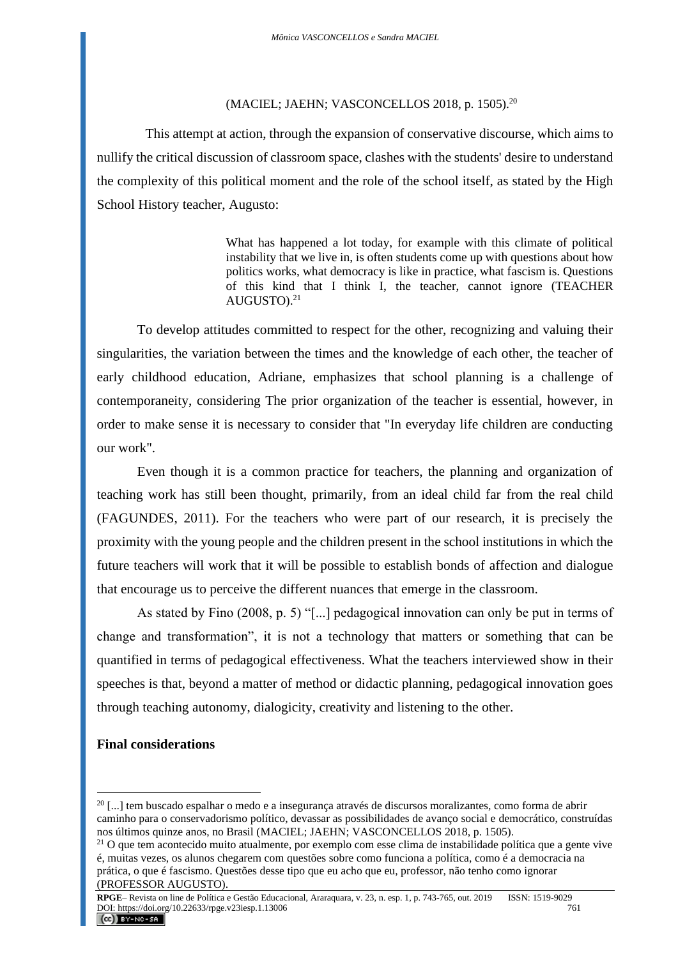#### (MACIEL; JAEHN; VASCONCELLOS 2018, p. 1505).<sup>20</sup>

This attempt at action, through the expansion of conservative discourse, which aims to nullify the critical discussion of classroom space, clashes with the students' desire to understand the complexity of this political moment and the role of the school itself, as stated by the High School History teacher, Augusto:

> What has happened a lot today, for example with this climate of political instability that we live in, is often students come up with questions about how politics works, what democracy is like in practice, what fascism is. Questions of this kind that I think I, the teacher, cannot ignore (TEACHER AUGUSTO).<sup>21</sup>

To develop attitudes committed to respect for the other, recognizing and valuing their singularities, the variation between the times and the knowledge of each other, the teacher of early childhood education, Adriane, emphasizes that school planning is a challenge of contemporaneity, considering The prior organization of the teacher is essential, however, in order to make sense it is necessary to consider that "In everyday life children are conducting our work".

Even though it is a common practice for teachers, the planning and organization of teaching work has still been thought, primarily, from an ideal child far from the real child (FAGUNDES, 2011). For the teachers who were part of our research, it is precisely the proximity with the young people and the children present in the school institutions in which the future teachers will work that it will be possible to establish bonds of affection and dialogue that encourage us to perceive the different nuances that emerge in the classroom.

As stated by Fino (2008, p. 5) "[...] pedagogical innovation can only be put in terms of change and transformation", it is not a technology that matters or something that can be quantified in terms of pedagogical effectiveness. What the teachers interviewed show in their speeches is that, beyond a matter of method or didactic planning, pedagogical innovation goes through teaching autonomy, dialogicity, creativity and listening to the other.

## **Final considerations**

 $^{20}$  [...] tem buscado espalhar o medo e a insegurança através de discursos moralizantes, como forma de abrir caminho para o conservadorismo político, devassar as possibilidades de avanço social e democrático, construídas nos últimos quinze anos, no Brasil (MACIEL; JAEHN; VASCONCELLOS 2018, p. 1505).

<sup>&</sup>lt;sup>21</sup> O que tem acontecido muito atualmente, por exemplo com esse clima de instabilidade política que a gente vive é, muitas vezes, os alunos chegarem com questões sobre como funciona a política, como é a democracia na prática, o que é fascismo. Questões desse tipo que eu acho que eu, professor, não tenho como ignorar (PROFESSOR AUGUSTO).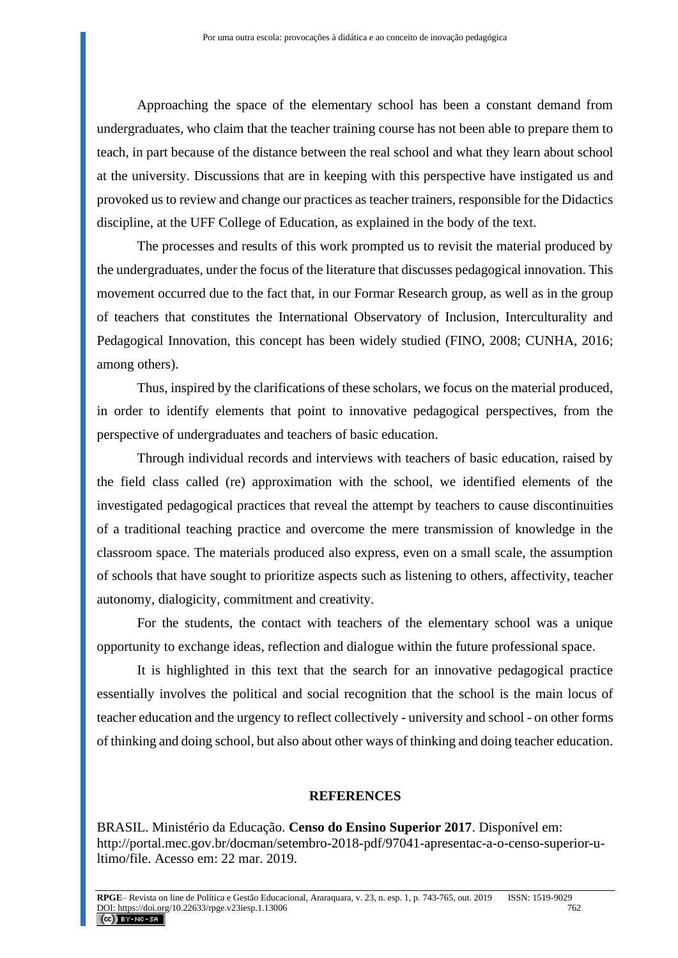Approaching the space of the elementary school has been a constant demand from undergraduates, who claim that the teacher training course has not been able to prepare them to teach, in part because of the distance between the real school and what they learn about school at the university. Discussions that are in keeping with this perspective have instigated us and provoked us to review and change our practices as teacher trainers, responsible for the Didactics discipline, at the UFF College of Education, as explained in the body of the text.

The processes and results of this work prompted us to revisit the material produced by the undergraduates, under the focus of the literature that discusses pedagogical innovation. This movement occurred due to the fact that, in our Formar Research group, as well as in the group of teachers that constitutes the International Observatory of Inclusion, Interculturality and Pedagogical Innovation, this concept has been widely studied (FINO, 2008; CUNHA, 2016; among others).

Thus, inspired by the clarifications of these scholars, we focus on the material produced, in order to identify elements that point to innovative pedagogical perspectives, from the perspective of undergraduates and teachers of basic education.

Through individual records and interviews with teachers of basic education, raised by the field class called (re) approximation with the school, we identified elements of the investigated pedagogical practices that reveal the attempt by teachers to cause discontinuities of a traditional teaching practice and overcome the mere transmission of knowledge in the classroom space. The materials produced also express, even on a small scale, the assumption of schools that have sought to prioritize aspects such as listening to others, affectivity, teacher autonomy, dialogicity, commitment and creativity.

For the students, the contact with teachers of the elementary school was a unique opportunity to exchange ideas, reflection and dialogue within the future professional space.

It is highlighted in this text that the search for an innovative pedagogical practice essentially involves the political and social recognition that the school is the main locus of teacher education and the urgency to reflect collectively - university and school - on other forms of thinking and doing school, but also about other ways of thinking and doing teacher education.

#### **REFERENCES**

BRASIL. Ministério da Educação. **Censo do Ensino Superior 2017**. Disponível em: [http://portal.mec.gov.br/docman/setembro-2018-pdf/97041-apresentac-a-o-censo-superior-u](http://portal.mec.gov.br/docman/setembro-2018-pdf/97041-apresentac-a-o-censo-superior-u-ltimo/file)[ltimo/file.](http://portal.mec.gov.br/docman/setembro-2018-pdf/97041-apresentac-a-o-censo-superior-u-ltimo/file) Acesso em: 22 mar. 2019.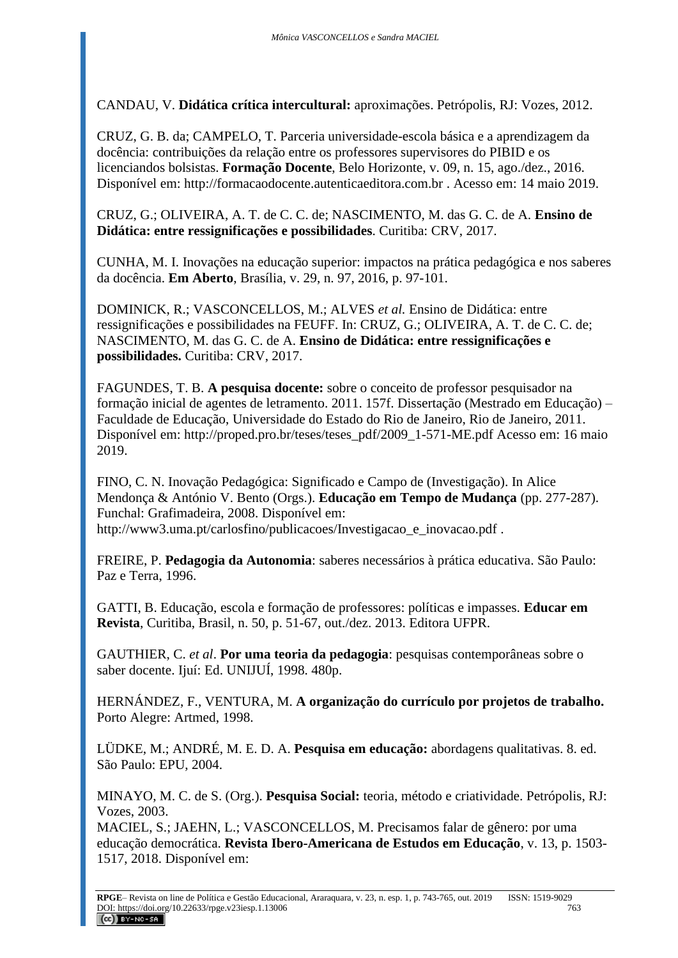CANDAU, V. **Didática crítica intercultural:** aproximações. Petrópolis, RJ: Vozes, 2012.

CRUZ, G. B. da; CAMPELO, T. Parceria universidade-escola básica e a aprendizagem da docência: contribuições da relação entre os professores supervisores do PIBID e os licenciandos bolsistas. **Formação Docente**, Belo Horizonte, v. 09, n. 15, ago./dez., 2016. Disponível em: [http://formacaodocente.autenticaeditora.com.br](http://formacaodocente.autenticaeditora.com.br/) . Acesso em: 14 maio 2019.

CRUZ, G.; OLIVEIRA, A. T. de C. C. de; NASCIMENTO, M. das G. C. de A. **Ensino de Didática: entre ressignificações e possibilidades**. Curitiba: CRV, 2017.

CUNHA, M. I. Inovações na educação superior: impactos na prática pedagógica e nos saberes da docência. **Em Aberto**, Brasília, v. 29, n. 97, 2016, p. 97-101.

DOMINICK, R.; VASCONCELLOS, M.; ALVES *et al.* Ensino de Didática: entre ressignificações e possibilidades na FEUFF. In: CRUZ, G.; OLIVEIRA, A. T. de C. C. de; NASCIMENTO, M. das G. C. de A. **Ensino de Didática: entre ressignificações e possibilidades.** Curitiba: CRV, 2017.

FAGUNDES, T. B. **A pesquisa docente:** sobre o conceito de professor pesquisador na formação inicial de agentes de letramento. 2011. 157f. Dissertação (Mestrado em Educação) – Faculdade de Educação, Universidade do Estado do Rio de Janeiro, Rio de Janeiro, 2011. Disponível em: [http://proped.pro.br/teses/teses\\_pdf/2009\\_1-571-ME.pdf](http://proped.pro.br/teses/teses_pdf/2009_1-571-ME.pdf) Acesso em: 16 maio 2019.

FINO, C. N. Inovação Pedagógica: Significado e Campo de (Investigação). In Alice Mendonça & António V. Bento (Orgs.). **Educação em Tempo de Mudança** (pp. 277-287). Funchal: Grafimadeira, 2008. Disponível em: [http://www3.uma.pt/carlosfino/publicacoes/Investigacao\\_e\\_inovacao.pdf](http://www3.uma.pt/carlosfino/publicacoes/Investigacao_e_inovacao.pdf).

FREIRE, P. **Pedagogia da Autonomia**: saberes necessários à prática educativa. São Paulo: Paz e Terra, 1996.

GATTI, B. Educação, escola e formação de professores: políticas e impasses. **Educar em Revista**, Curitiba, Brasil, n. 50, p. 51-67, out./dez. 2013. Editora UFPR.

GAUTHIER, C. *et al*. **Por uma teoria da pedagogia**: pesquisas contemporâneas sobre o saber docente. Ijuí: Ed. UNIJUÍ, 1998. 480p.

HERNÁNDEZ, F., VENTURA, M. **A organização do currículo por projetos de trabalho.**  Porto Alegre: Artmed, 1998.

LÜDKE, M.; ANDRÉ, M. E. D. A. **Pesquisa em educação:** abordagens qualitativas. 8. ed. São Paulo: EPU, 2004.

MINAYO, M. C. de S. (Org.). **Pesquisa Social:** teoria, método e criatividade. Petrópolis, RJ: Vozes, 2003.

MACIEL, S.; JAEHN, L.; VASCONCELLOS, M. Precisamos falar de gênero: por uma educação democrática. **Revista Ibero-Americana de Estudos em Educação**, v. 13, p. 1503- 1517, 2018. Disponível em: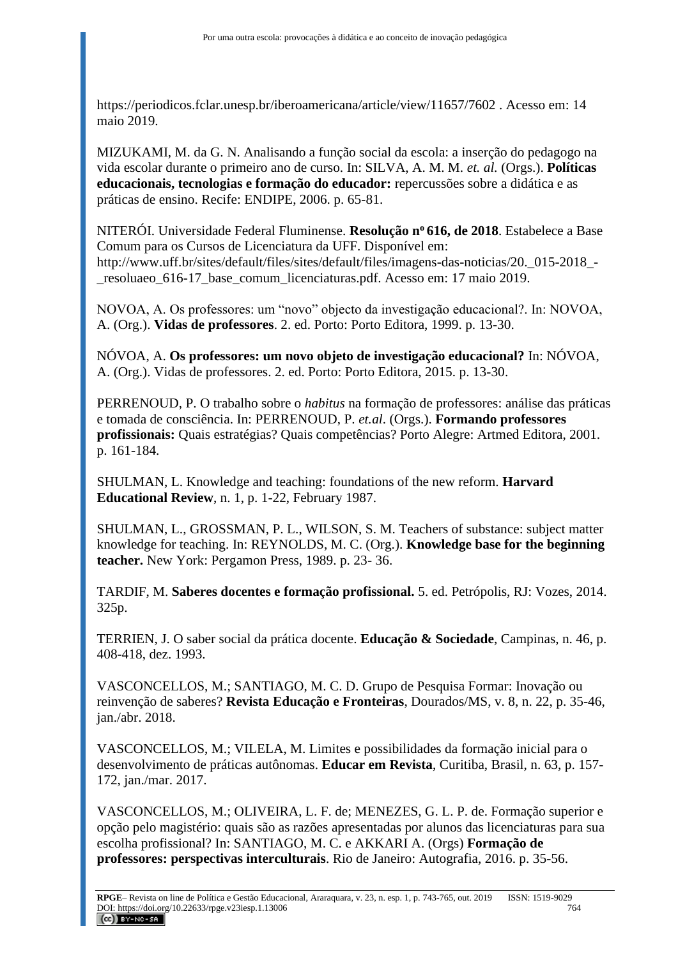<https://periodicos.fclar.unesp.br/iberoamericana/article/view/11657/7602> . Acesso em: 14 maio 2019.

MIZUKAMI, M. da G. N. Analisando a função social da escola: a inserção do pedagogo na vida escolar durante o primeiro ano de curso. In: SILVA, A. M. M. *et. al.* (Orgs.). **Políticas educacionais, tecnologias e formação do educador:** repercussões sobre a didática e as práticas de ensino. Recife: ENDIPE, 2006. p. 65-81.

NITERÓI. Universidade Federal Fluminense. **Resolução n<sup>o</sup>616, de 2018**. Estabelece a Base Comum para os Cursos de Licenciatura da UFF. Disponível em: http://www.uff.br/sites/default/files/sites/default/files/imagens-das-noticias/20.\_015-2018\_- \_resoluaeo\_616-17\_base\_comum\_licenciaturas.pdf. Acesso em: 17 maio 2019.

NOVOA, A. Os professores: um "novo" objecto da investigação educacional?. In: NOVOA, A. (Org.). **Vidas de professores**. 2. ed. Porto: Porto Editora, 1999. p. 13-30.

NÓVOA, A. **Os professores: um novo objeto de investigação educacional?** In: NÓVOA, A. (Org.). Vidas de professores. 2. ed. Porto: Porto Editora, 2015. p. 13-30.

PERRENOUD, P. O trabalho sobre o *habitus* na formação de professores: análise das práticas e tomada de consciência. In: PERRENOUD, P. *et.al*. (Orgs.). **Formando professores profissionais:** Quais estratégias? Quais competências? Porto Alegre: Artmed Editora, 2001. p. 161-184.

SHULMAN, L. Knowledge and teaching: foundations of the new reform. **Harvard Educational Review**, n. 1, p. 1-22, February 1987.

SHULMAN, L., GROSSMAN, P. L., WILSON, S. M. Teachers of substance: subject matter knowledge for teaching. In: REYNOLDS, M. C. (Org.). **Knowledge base for the beginning teacher.** New York: Pergamon Press, 1989. p. 23- 36.

TARDIF, M. **Saberes docentes e formação profissional.** 5. ed. Petrópolis, RJ: Vozes, 2014. 325p.

TERRIEN, J. O saber social da prática docente. **Educação & Sociedade**, Campinas, n. 46, p. 408-418, dez. 1993.

VASCONCELLOS, M.; SANTIAGO, M. C. D. Grupo de Pesquisa Formar: Inovação ou reinvenção de saberes? **Revista Educação e Fronteiras**, Dourados/MS, v. 8, n. 22, p. 35-46, jan./abr. 2018.

VASCONCELLOS, M.; VILELA, M. Limites e possibilidades da formação inicial para o desenvolvimento de práticas autônomas. **Educar em Revista**, Curitiba, Brasil, n. 63, p. 157- 172, jan./mar. 2017.

VASCONCELLOS, M.; OLIVEIRA, L. F. de; MENEZES, G. L. P. de. Formação superior e opção pelo magistério: quais são as razões apresentadas por alunos das licenciaturas para sua escolha profissional? In: SANTIAGO, M. C. e AKKARI A. (Orgs) **Formação de professores: perspectivas interculturais**. Rio de Janeiro: Autografia, 2016. p. 35-56.